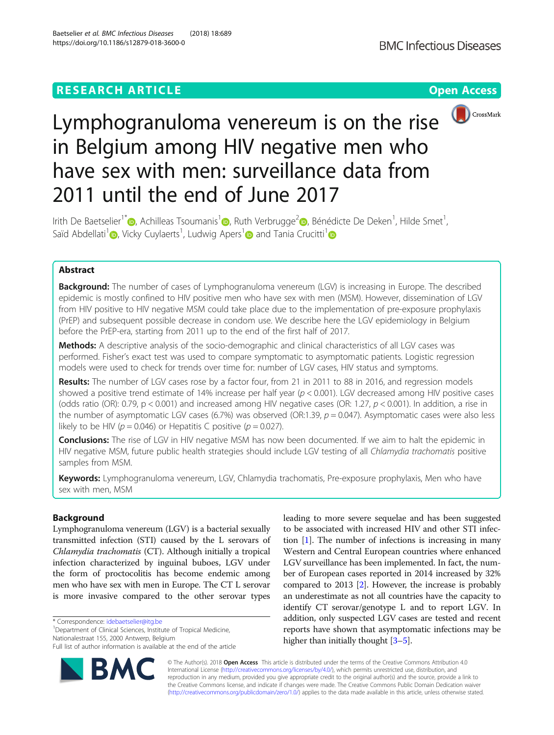## **RESEARCH ARTICLE Example 2018 12:30 THE Open Access**



# Lymphogranuloma venereum is on the rise in Belgium among HIV negative men who have sex with men: surveillance data from 2011 until the end of June 2017

Irith De Baetselier<sup>1\*</sup>io[,](http://orcid.org/0000-0002-3328-3057) Achilleas Tsoumanis<sup>1</sup>io, Ruth Verbrugge<sup>2</sup>io, Bénédicte De Deken<sup>1</sup>, Hilde Smet<sup>1</sup> , Saïd Abdellati<sup>1</sup> (b[,](http://orcid.org/0000-0002-9620-8257) Vicky Cuylaerts<sup>[1](http://orcid.org/0000-0001-9871-8157)</sup>, Ludwig Apers<sup>1</sup> and Tania Crucitti<sup>1</sup>

## Abstract

**Background:** The number of cases of Lymphogranuloma venereum (LGV) is increasing in Europe. The described epidemic is mostly confined to HIV positive men who have sex with men (MSM). However, dissemination of LGV from HIV positive to HIV negative MSM could take place due to the implementation of pre-exposure prophylaxis (PrEP) and subsequent possible decrease in condom use. We describe here the LGV epidemiology in Belgium before the PrEP-era, starting from 2011 up to the end of the first half of 2017.

Methods: A descriptive analysis of the socio-demographic and clinical characteristics of all LGV cases was performed. Fisher's exact test was used to compare symptomatic to asymptomatic patients. Logistic regression models were used to check for trends over time for: number of LGV cases, HIV status and symptoms.

Results: The number of LGV cases rose by a factor four, from 21 in 2011 to 88 in 2016, and regression models showed a positive trend estimate of 14% increase per half year  $(p < 0.001)$ . LGV decreased among HIV positive cases (odds ratio (OR): 0.79,  $p < 0.001$ ) and increased among HIV negative cases (OR: 1.27,  $p < 0.001$ ). In addition, a rise in the number of asymptomatic LGV cases (6.7%) was observed (OR:1.39,  $p = 0.047$ ). Asymptomatic cases were also less likely to be HIV ( $p = 0.046$ ) or Hepatitis C positive ( $p = 0.027$ ).

Conclusions: The rise of LGV in HIV negative MSM has now been documented. If we aim to halt the epidemic in HIV negative MSM, future public health strategies should include LGV testing of all Chlamydia trachomatis positive samples from MSM.

Keywords: Lymphogranuloma venereum, LGV, Chlamydia trachomatis, Pre-exposure prophylaxis, Men who have sex with men, MSM

## Background

Lymphogranuloma venereum (LGV) is a bacterial sexually transmitted infection (STI) caused by the L serovars of Chlamydia trachomatis (CT). Although initially a tropical infection characterized by inguinal buboes, LGV under the form of proctocolitis has become endemic among men who have sex with men in Europe. The CT L serovar is more invasive compared to the other serovar types

\* Correspondence: [idebaetselier@itg.be](mailto:idebaetselier@itg.be) <sup>1</sup>

<sup>1</sup>Department of Clinical Sciences, Institute of Tropical Medicine, Nationalestraat 155, 2000 Antwerp, Belgium

Full list of author information is available at the end of the article



leading to more severe sequelae and has been suggested to be associated with increased HIV and other STI infection [[1](#page-7-0)]. The number of infections is increasing in many Western and Central European countries where enhanced LGV surveillance has been implemented. In fact, the number of European cases reported in 2014 increased by 32% compared to 2013 [\[2](#page-7-0)]. However, the increase is probably an underestimate as not all countries have the capacity to identify CT serovar/genotype L and to report LGV. In addition, only suspected LGV cases are tested and recent reports have shown that asymptomatic infections may be higher than initially thought [[3](#page-7-0)–[5](#page-7-0)].

© The Author(s). 2018 Open Access This article is distributed under the terms of the Creative Commons Attribution 4.0 International License [\(http://creativecommons.org/licenses/by/4.0/](http://creativecommons.org/licenses/by/4.0/)), which permits unrestricted use, distribution, and reproduction in any medium, provided you give appropriate credit to the original author(s) and the source, provide a link to the Creative Commons license, and indicate if changes were made. The Creative Commons Public Domain Dedication waiver [\(http://creativecommons.org/publicdomain/zero/1.0/](http://creativecommons.org/publicdomain/zero/1.0/)) applies to the data made available in this article, unless otherwise stated.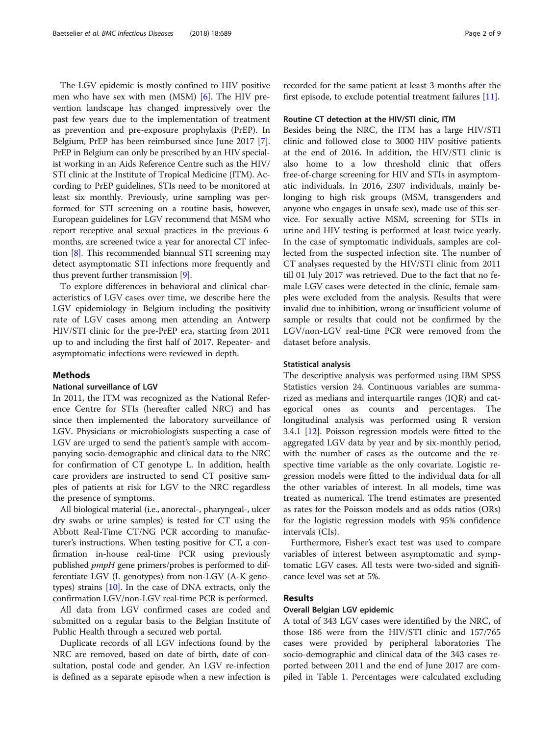The LGV epidemic is mostly confined to HIV positive men who have sex with men (MSM) [\[6](#page-7-0)]. The HIV prevention landscape has changed impressively over the past few years due to the implementation of treatment as prevention and pre-exposure prophylaxis (PrEP). In Belgium, PrEP has been reimbursed since June 2017 [\[7](#page-7-0)]. PrEP in Belgium can only be prescribed by an HIV specialist working in an Aids Reference Centre such as the HIV/ STI clinic at the Institute of Tropical Medicine (ITM). According to PrEP guidelines, STIs need to be monitored at least six monthly. Previously, urine sampling was performed for STI screening on a routine basis, however, European guidelines for LGV recommend that MSM who report receptive anal sexual practices in the previous 6 months, are screened twice a year for anorectal CT infection [\[8](#page-7-0)]. This recommended biannual STI screening may detect asymptomatic STI infections more frequently and thus prevent further transmission [\[9](#page-7-0)].

To explore differences in behavioral and clinical characteristics of LGV cases over time, we describe here the LGV epidemiology in Belgium including the positivity rate of LGV cases among men attending an Antwerp HIV/STI clinic for the pre-PrEP era, starting from 2011 up to and including the first half of 2017. Repeater- and asymptomatic infections were reviewed in depth.

## Methods

## National surveillance of LGV

In 2011, the ITM was recognized as the National Reference Centre for STIs (hereafter called NRC) and has since then implemented the laboratory surveillance of LGV. Physicians or microbiologists suspecting a case of LGV are urged to send the patient's sample with accompanying socio-demographic and clinical data to the NRC for confirmation of CT genotype L. In addition, health care providers are instructed to send CT positive samples of patients at risk for LGV to the NRC regardless the presence of symptoms.

All biological material (i.e., anorectal-, pharyngeal-, ulcer dry swabs or urine samples) is tested for CT using the Abbott Real-Time CT/NG PCR according to manufacturer's instructions. When testing positive for CT, a confirmation in-house real-time PCR using previously published *pmpH* gene primers/probes is performed to differentiate LGV (L genotypes) from non-LGV (A-K genotypes) strains [[10](#page-8-0)]. In the case of DNA extracts, only the confirmation LGV/non-LGV real-time PCR is performed.

All data from LGV confirmed cases are coded and submitted on a regular basis to the Belgian Institute of Public Health through a secured web portal.

Duplicate records of all LGV infections found by the NRC are removed, based on date of birth, date of consultation, postal code and gender. An LGV re-infection is defined as a separate episode when a new infection is

recorded for the same patient at least 3 months after the first episode, to exclude potential treatment failures [\[11\]](#page-8-0).

#### Routine CT detection at the HIV/STI clinic, ITM

Besides being the NRC, the ITM has a large HIV/STI clinic and followed close to 3000 HIV positive patients at the end of 2016. In addition, the HIV/STI clinic is also home to a low threshold clinic that offers free-of-charge screening for HIV and STIs in asymptomatic individuals. In 2016, 2307 individuals, mainly belonging to high risk groups (MSM, transgenders and anyone who engages in unsafe sex), made use of this service. For sexually active MSM, screening for STIs in urine and HIV testing is performed at least twice yearly. In the case of symptomatic individuals, samples are collected from the suspected infection site. The number of CT analyses requested by the HIV/STI clinic from 2011 till 01 July 2017 was retrieved. Due to the fact that no female LGV cases were detected in the clinic, female samples were excluded from the analysis. Results that were invalid due to inhibition, wrong or insufficient volume of sample or results that could not be confirmed by the LGV/non-LGV real-time PCR were removed from the dataset before analysis.

## Statistical analysis

The descriptive analysis was performed using IBM SPSS Statistics version 24. Continuous variables are summarized as medians and interquartile ranges (IQR) and categorical ones as counts and percentages. The longitudinal analysis was performed using R version 3.4.1 [[12\]](#page-8-0). Poisson regression models were fitted to the aggregated LGV data by year and by six-monthly period, with the number of cases as the outcome and the respective time variable as the only covariate. Logistic regression models were fitted to the individual data for all the other variables of interest. In all models, time was treated as numerical. The trend estimates are presented as rates for the Poisson models and as odds ratios (ORs) for the logistic regression models with 95% confidence intervals (CIs).

Furthermore, Fisher's exact test was used to compare variables of interest between asymptomatic and symptomatic LGV cases. All tests were two-sided and significance level was set at 5%.

## Results

## Overall Belgian LGV epidemic

A total of 343 LGV cases were identified by the NRC, of those 186 were from the HIV/STI clinic and 157/765 cases were provided by peripheral laboratories The socio-demographic and clinical data of the 343 cases reported between 2011 and the end of June 2017 are compiled in Table [1](#page-2-0). Percentages were calculated excluding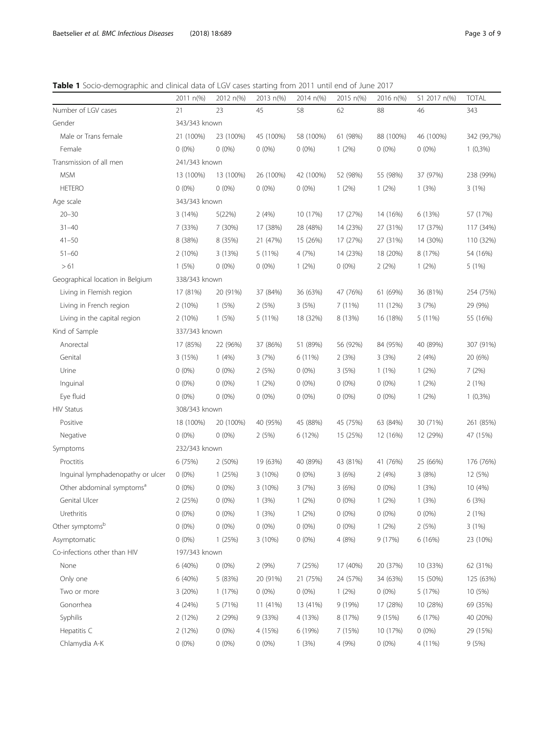<span id="page-2-0"></span>Table 1 Socio-demographic and clinical data of LGV cases starting from 2011 until end of June 2017

|                                       | 2011 n(%)     | 2012 n(%) | 2013 n(%) | 2014 n(%) | 2015 n(%) | 2016 n(%) | S1 2017 n(%) | <b>TOTAL</b> |  |
|---------------------------------------|---------------|-----------|-----------|-----------|-----------|-----------|--------------|--------------|--|
| Number of LGV cases                   | 21            | 23        | 45        | 58        | 62        | 88        | 46           | 343          |  |
| Gender                                | 343/343 known |           |           |           |           |           |              |              |  |
| Male or Trans female                  | 21 (100%)     | 23 (100%) | 45 (100%) | 58 (100%) | 61 (98%)  | 88 (100%) | 46 (100%)    | 342 (99,7%)  |  |
| Female                                | $0(0\%)$      | $0(0\%)$  | $0(0\%)$  | $0(0\%)$  | 1(2%)     | $0(0\%)$  | $0(0\%)$     | $1(0,3\%)$   |  |
| Transmission of all men               | 241/343 known |           |           |           |           |           |              |              |  |
| <b>MSM</b>                            | 13 (100%)     | 13 (100%) | 26 (100%) | 42 (100%) | 52 (98%)  | 55 (98%)  | 37 (97%)     | 238 (99%)    |  |
| <b>HETERO</b>                         | $0(0\%)$      | $0(0\%)$  | $0(0\%)$  | $0(0\%)$  | 1(2%)     | $1(2\%)$  | 1(3%)        | 3(1%)        |  |
| Age scale                             | 343/343 known |           |           |           |           |           |              |              |  |
| $20 - 30$                             | 3(14%)        | 5(22%)    | 2(4%)     | 10 (17%)  | 17 (27%)  | 14 (16%)  | 6 (13%)      | 57 (17%)     |  |
| $31 - 40$                             | 7 (33%)       | 7 (30%)   | 17 (38%)  | 28 (48%)  | 14 (23%)  | 27 (31%)  | 17 (37%)     | 117 (34%)    |  |
| $41 - 50$                             | 8 (38%)       | 8 (35%)   | 21 (47%)  | 15 (26%)  | 17 (27%)  | 27 (31%)  | 14 (30%)     | 110 (32%)    |  |
| $51 - 60$                             | 2 (10%)       | 3(13%)    | 5(11%)    | 4 (7%)    | 14 (23%)  | 18 (20%)  | 8 (17%)      | 54 (16%)     |  |
| > 61                                  | 1(5%)         | $0(0\%)$  | $0(0\%)$  | $1(2\%)$  | $0(0\%)$  | 2(2%)     | $1(2\%)$     | 5 (1%)       |  |
| Geographical location in Belgium      | 338/343 known |           |           |           |           |           |              |              |  |
| Living in Flemish region              | 17 (81%)      | 20 (91%)  | 37 (84%)  | 36 (63%)  | 47 (76%)  | 61 (69%)  | 36 (81%)     | 254 (75%)    |  |
| Living in French region               | 2(10%)        | 1(5%)     | 2(5%)     | 3(5%)     | 7 (11%)   | 11 (12%)  | 3(7%)        | 29 (9%)      |  |
| Living in the capital region          | 2 (10%)       | 1(5%)     | 5(11%)    | 18 (32%)  | 8 (13%)   | 16 (18%)  | 5(11%)       | 55 (16%)     |  |
| Kind of Sample                        | 337/343 known |           |           |           |           |           |              |              |  |
| Anorectal                             | 17 (85%)      | 22 (96%)  | 37 (86%)  | 51 (89%)  | 56 (92%)  | 84 (95%)  | 40 (89%)     | 307 (91%)    |  |
| Genital                               | 3 (15%)       | 1(4%)     | 3 (7%)    | 6 (11%)   | 2(3%)     | 3(3%)     | 2(4%)        | 20 (6%)      |  |
| Urine                                 | $0(0\%)$      | $0(0\%)$  | 2(5%)     | $0(0\%)$  | 3(5%)     | $1(1\%)$  | 1(2%)        | 7(2%)        |  |
| Inguinal                              | $0(0\%)$      | $0(0\%)$  | 1(2%)     | $0(0\%)$  | $0(0\%)$  | $0(0\%)$  | 1(2%)        | 2(1%)        |  |
| Eye fluid                             | $0(0\%)$      | $0(0\%)$  | $0(0\%)$  | $0(0\%)$  | $0(0\%)$  | $0(0\%)$  | $1(2\%)$     | $1(0,3\%)$   |  |
| <b>HIV Status</b>                     | 308/343 known |           |           |           |           |           |              |              |  |
| Positive                              | 18 (100%)     | 20 (100%) | 40 (95%)  | 45 (88%)  | 45 (75%)  | 63 (84%)  | 30 (71%)     | 261 (85%)    |  |
| Negative                              | $0(0\%)$      | $0(0\%)$  | 2(5%)     | 6 (12%)   | 15 (25%)  | 12 (16%)  | 12 (29%)     | 47 (15%)     |  |
| Symptoms                              | 232/343 known |           |           |           |           |           |              |              |  |
| Proctitis                             | 6(75%)        | 2 (50%)   | 19 (63%)  | 40 (89%)  | 43 (81%)  | 41 (76%)  | 25 (66%)     | 176 (76%)    |  |
| Inguinal lymphadenopathy or ulcer     | $0(0\%)$      | 1(25%)    | 3(10%)    | $0(0\%)$  | 3(6%)     | 2(4%)     | 3(8%)        | 12 (5%)      |  |
| Other abdominal symptoms <sup>a</sup> | $0(0\%)$      | $0(0\%)$  | 3(10%)    | 3(7%)     | 3(6%)     | $0(0\%)$  | 1(3%)        | 10 (4%)      |  |
| Genital Ulcer                         | 2(25%)        | $0(0\%)$  | 1(3%)     | 1(2%)     | $0(0\%)$  | 1(2%)     | 1(3%)        | 6 (3%)       |  |
| Urethritis                            | $0(0\%)$      | $0(0\%)$  | 1(3%)     | 1(2%)     | $0(0\%)$  | $0(0\%)$  | $0(0\%)$     | 2(1%)        |  |
| Other symptomsb                       | $0(0\%)$      | $0(0\%)$  | $0(0\%)$  | $0(0\%)$  | $0(0\%)$  | 1(2%)     | 2(5%)        | 3 (1%)       |  |
| Asymptomatic                          | $0(0\%)$      | 1(25%)    | 3 (10%)   | $0(0\%)$  | 4 (8%)    | 9 (17%)   | 6 (16%)      | 23 (10%)     |  |
| Co-infections other than HIV          | 197/343 known |           |           |           |           |           |              |              |  |
| None                                  | 6 (40%)       | $0(0\%)$  | 2 (9%)    | 7(25%)    | 17 (40%)  | 20 (37%)  | 10 (33%)     | 62 (31%)     |  |
| Only one                              | 6 (40%)       | 5 (83%)   | 20 (91%)  | 21 (75%)  | 24 (57%)  | 34 (63%)  | 15 (50%)     | 125 (63%)    |  |
| Two or more                           | 3(20%)        | 1(17%)    | $0(0\%)$  | $0(0\%)$  | 1(2%)     | $0(0\%)$  | 5(17%)       | 10 (5%)      |  |
| Gonorrhea                             | 4 (24%)       | 5 (71%)   | 11 (41%)  | 13 (41%)  | 9 (19%)   | 17 (28%)  | 10 (28%)     | 69 (35%)     |  |
| Syphilis                              | 2 (12%)       | 2 (29%)   | 9 (33%)   | 4 (13%)   | 8 (17%)   | 9 (15%)   | 6 (17%)      | 40 (20%)     |  |
| Hepatitis C                           | 2 (12%)       | $0(0\%)$  | 4 (15%)   | 6 (19%)   | 7 (15%)   | 10 (17%)  | $0(0\%)$     | 29 (15%)     |  |
| Chlamydia A-K                         | $0(0\%)$      | $0(0\%)$  | $0(0\%)$  | 1(3%)     | 4 (9%)    | $0(0\%)$  | 4 (11%)      | 9(5%)        |  |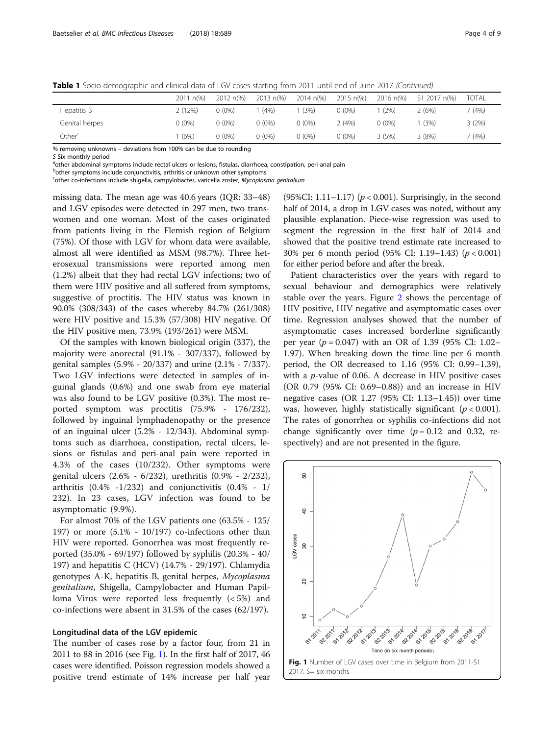Table 1 Socio-demographic and clinical data of LGV cases starting from 2011 until end of June 2017 (Continued)

|                    | $2011 \text{ n}$ (%) | 2012 n(%) | $2013 n\frac{9}{6}$ | 2014 n(%) | 2015 n(%) | $2016 \text{ n}$ <sup>(%)</sup> | S1 2017 n(%) | TOTAL  |
|--------------------|----------------------|-----------|---------------------|-----------|-----------|---------------------------------|--------------|--------|
| Hepatitis B        | 2 (12%)              | 0 (0%)    | (4% )               | (3%)      | 0 (0%)    | (2%)                            | 2(6%)        | 7 (4%) |
| Genital herpes     | $0(0\%)$             | $0(0\%)$  | $0(0\%)$            | $0(0\%)$  | 2(4%)     | $0(0\%)$                        | (3%)         | 3(2%)  |
| Other <sup>c</sup> | (6%)                 | $0(0\%)$  | $0(0\%)$            | $0(0\%)$  | 0 (0%)    | 3(5%)                           | 3(8%)        | 7 (4%) |

% removing unknowns – deviations from 100% can be due to rounding

S Six-monthly period

<sup>a</sup>other abdominal symptoms include rectal ulcers or lesions, fistulas, diarrhoea, constipation, peri-anal pain

<sup>b</sup>other symptoms include conjunctivitis, arthritis or unknown other symptoms

<sup>c</sup>other co-infections include shigella, campylobacter, varicella zoster, *Mycoplasma genitalium* 

missing data. The mean age was 40.6 years (IQR: 33–48) and LGV episodes were detected in 297 men, two transwomen and one woman. Most of the cases originated from patients living in the Flemish region of Belgium (75%). Of those with LGV for whom data were available, almost all were identified as MSM (98.7%). Three heterosexual transmissions were reported among men (1.2%) albeit that they had rectal LGV infections; two of them were HIV positive and all suffered from symptoms, suggestive of proctitis. The HIV status was known in 90.0% (308/343) of the cases whereby 84.7% (261/308) were HIV positive and 15.3% (57/308) HIV negative. Of the HIV positive men, 73.9% (193/261) were MSM.

Of the samples with known biological origin (337), the majority were anorectal (91.1% - 307/337), followed by genital samples (5.9% - 20/337) and urine (2.1% - 7/337). Two LGV infections were detected in samples of inguinal glands (0.6%) and one swab from eye material was also found to be LGV positive (0.3%). The most reported symptom was proctitis (75.9% - 176/232), followed by inguinal lymphadenopathy or the presence of an inguinal ulcer (5.2% - 12/343). Abdominal symptoms such as diarrhoea, constipation, rectal ulcers, lesions or fistulas and peri-anal pain were reported in 4.3% of the cases (10/232). Other symptoms were genital ulcers (2.6% - 6/232), urethritis (0.9% - 2/232), arthritis  $(0.4\% -1/232)$  and conjunctivitis  $(0.4\% -1/232)$ 232). In 23 cases, LGV infection was found to be asymptomatic (9.9%).

For almost 70% of the LGV patients one (63.5% - 125/ 197) or more (5.1% - 10/197) co-infections other than HIV were reported. Gonorrhea was most frequently reported (35.0% - 69/197) followed by syphilis (20.3% - 40/ 197) and hepatitis C (HCV) (14.7% - 29/197). Chlamydia genotypes A-K, hepatitis B, genital herpes, Mycoplasma genitalium, Shigella, Campylobacter and Human Papilloma Virus were reported less frequently (< 5%) and co-infections were absent in 31.5% of the cases (62/197).

## Longitudinal data of the LGV epidemic

The number of cases rose by a factor four, from 21 in 2011 to 88 in 2016 (see Fig. 1). In the first half of 2017, 46 cases were identified. Poisson regression models showed a positive trend estimate of 14% increase per half year

(95%CI: 1.11–1.17) ( $p < 0.001$ ). Surprisingly, in the second half of 2014, a drop in LGV cases was noted, without any plausible explanation. Piece-wise regression was used to segment the regression in the first half of 2014 and showed that the positive trend estimate rate increased to 30% per 6 month period (95% CI: 1.19–1.43) (p < 0.001) for either period before and after the break.

Patient characteristics over the years with regard to sexual behaviour and demographics were relatively stable over the years. Figure [2](#page-4-0) shows the percentage of HIV positive, HIV negative and asymptomatic cases over time. Regression analyses showed that the number of asymptomatic cases increased borderline significantly per year ( $p = 0.047$ ) with an OR of 1.39 (95% CI: 1.02– 1.97). When breaking down the time line per 6 month period, the OR decreased to 1.16 (95% CI: 0.99–1.39), with a  $p$ -value of 0.06. A decrease in HIV positive cases (OR 0.79 (95% CI: 0.69–0.88)) and an increase in HIV negative cases (OR 1.27 (95% CI: 1.13–1.45)) over time was, however, highly statistically significant ( $p < 0.001$ ). The rates of gonorrhea or syphilis co-infections did not change significantly over time  $(p = 0.12$  and 0.32, respectively) and are not presented in the figure.

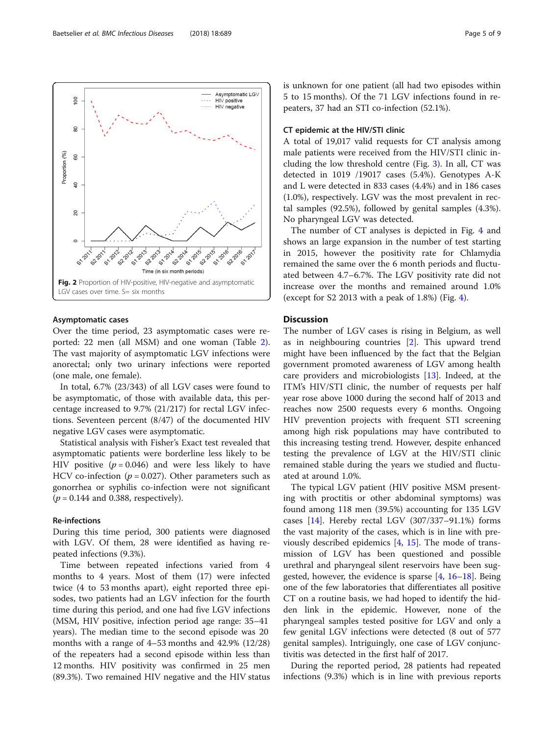Over the time period, 23 asymptomatic cases were reported: 22 men (all MSM) and one woman (Table [2](#page-5-0)). The vast majority of asymptomatic LGV infections were anorectal; only two urinary infections were reported (one male, one female).

In total, 6.7% (23/343) of all LGV cases were found to be asymptomatic, of those with available data, this percentage increased to 9.7% (21/217) for rectal LGV infections. Seventeen percent (8/47) of the documented HIV negative LGV cases were asymptomatic.

Statistical analysis with Fisher's Exact test revealed that asymptomatic patients were borderline less likely to be HIV positive  $(p = 0.046)$  and were less likely to have HCV co-infection ( $p = 0.027$ ). Other parameters such as gonorrhea or syphilis co-infection were not significant  $(p = 0.144$  and 0.388, respectively).

## Re-infections

Asymptomatic cases

During this time period, 300 patients were diagnosed with LGV. Of them, 28 were identified as having repeated infections (9.3%).

Time between repeated infections varied from 4 months to 4 years. Most of them (17) were infected twice (4 to 53 months apart), eight reported three episodes, two patients had an LGV infection for the fourth time during this period, and one had five LGV infections (MSM, HIV positive, infection period age range: 35–41 years). The median time to the second episode was 20 months with a range of 4–53 months and 42.9% (12/28) of the repeaters had a second episode within less than 12 months. HIV positivity was confirmed in 25 men (89.3%). Two remained HIV negative and the HIV status is unknown for one patient (all had two episodes within 5 to 15 months). Of the 71 LGV infections found in repeaters, 37 had an STI co-infection (52.1%).

## CT epidemic at the HIV/STI clinic

A total of 19,017 valid requests for CT analysis among male patients were received from the HIV/STI clinic including the low threshold centre (Fig. [3](#page-6-0)). In all, CT was detected in 1019 /19017 cases (5.4%). Genotypes A-K and L were detected in 833 cases (4.4%) and in 186 cases (1.0%), respectively. LGV was the most prevalent in rectal samples (92.5%), followed by genital samples (4.3%). No pharyngeal LGV was detected.

The number of CT analyses is depicted in Fig. [4](#page-6-0) and shows an large expansion in the number of test starting in 2015, however the positivity rate for Chlamydia remained the same over the 6 month periods and fluctuated between 4.7–6.7%. The LGV positivity rate did not increase over the months and remained around 1.0% (except for S2 2013 with a peak of 1.8%) (Fig. [4\)](#page-6-0).

## **Discussion**

The number of LGV cases is rising in Belgium, as well as in neighbouring countries [[2\]](#page-7-0). This upward trend might have been influenced by the fact that the Belgian government promoted awareness of LGV among health care providers and microbiologists [[13\]](#page-8-0). Indeed, at the ITM's HIV/STI clinic, the number of requests per half year rose above 1000 during the second half of 2013 and reaches now 2500 requests every 6 months. Ongoing HIV prevention projects with frequent STI screening among high risk populations may have contributed to this increasing testing trend. However, despite enhanced testing the prevalence of LGV at the HIV/STI clinic remained stable during the years we studied and fluctuated at around 1.0%.

The typical LGV patient (HIV positive MSM presenting with proctitis or other abdominal symptoms) was found among 118 men (39.5%) accounting for 135 LGV cases [[14\]](#page-8-0). Hereby rectal LGV (307/337–91.1%) forms the vast majority of the cases, which is in line with previously described epidemics [[4,](#page-7-0) [15](#page-8-0)]. The mode of transmission of LGV has been questioned and possible urethral and pharyngeal silent reservoirs have been suggested, however, the evidence is sparse  $[4, 16-18]$  $[4, 16-18]$  $[4, 16-18]$  $[4, 16-18]$  $[4, 16-18]$  $[4, 16-18]$ . Being one of the few laboratories that differentiates all positive CT on a routine basis, we had hoped to identify the hidden link in the epidemic. However, none of the pharyngeal samples tested positive for LGV and only a few genital LGV infections were detected (8 out of 577 genital samples). Intriguingly, one case of LGV conjunctivitis was detected in the first half of 2017.

During the reported period, 28 patients had repeated infections (9.3%) which is in line with previous reports

<span id="page-4-0"></span>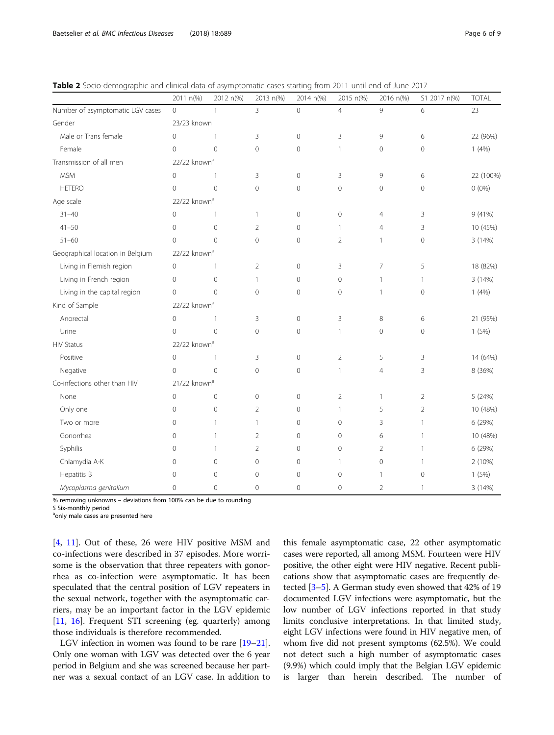<span id="page-5-0"></span>Table 2 Socio-demographic and clinical data of asymptomatic cases starting from 2011 until end of June 2017

|                                  | 2011 n(%)                | 2012 n(%)                | 2013 n(%)      | 2014 n(%)      | 2015 n(%)           | 2016 n(%)      | S1 2017 n(%)        | <b>TOTAL</b> |  |  |
|----------------------------------|--------------------------|--------------------------|----------------|----------------|---------------------|----------------|---------------------|--------------|--|--|
| Number of asymptomatic LGV cases | $\Omega$                 | 1                        | 3              | $\mathbf{0}$   | $\overline{4}$      | 9              | 6                   | 23           |  |  |
| Gender                           | 23/23 known              |                          |                |                |                     |                |                     |              |  |  |
| Male or Trans female             | 0                        | 1                        | 3              | $\mathbf 0$    | 3                   | 9              | 6                   | 22 (96%)     |  |  |
| Female                           | $\mathbf 0$              | $\overline{0}$           | $\overline{0}$ | $\overline{0}$ | $\mathbf{1}$        | 0              | 0                   | 1(4%)        |  |  |
| Transmission of all men          |                          | 22/22 known <sup>a</sup> |                |                |                     |                |                     |              |  |  |
| <b>MSM</b>                       | $\mathbf 0$              | 1                        | 3              | $\mathbf{0}$   | 3                   | 9              | 6                   | 22 (100%)    |  |  |
| <b>HETERO</b>                    | $\Omega$                 | $\mathbf{0}$             | $\mathbf 0$    | $\mathbf 0$    | $\mathsf{O}\xspace$ | 0              | $\mathsf{O}\xspace$ | $0(0\%)$     |  |  |
| Age scale                        |                          | 22/22 known <sup>a</sup> |                |                |                     |                |                     |              |  |  |
| $31 - 40$                        | $\mathbf{0}$             | $\mathbf{1}$             | $\mathbf{1}$   | $\mathbf{0}$   | $\mathbb O$         | 4              | 3                   | 9(41%)       |  |  |
| $41 - 50$                        | $\Omega$                 | $\mathbf{0}$             | $\overline{2}$ | $\mathbf{0}$   | $\mathbf{1}$        | $\overline{4}$ | 3                   | 10 (45%)     |  |  |
| $51 - 60$                        | $\Omega$                 | $\mathbf{0}$             | $\circ$        | $\mathbf{0}$   | $\overline{2}$      | $\mathbf{1}$   | $\mathsf{O}\xspace$ | 3(14%)       |  |  |
| Geographical location in Belgium |                          | 22/22 known <sup>a</sup> |                |                |                     |                |                     |              |  |  |
| Living in Flemish region         | $\mathbf 0$              | 1                        | $\overline{2}$ | $\mathbf 0$    | $\mathsf 3$         | 7              | 5                   | 18 (82%)     |  |  |
| Living in French region          | $\Omega$                 | $\mathbf{0}$             | $\mathbf{1}$   | $\mathbf{0}$   | $\mathbf 0$         | $\mathbf{1}$   | $\mathbf{1}$        | 3 (14%)      |  |  |
| Living in the capital region     | $\mathbf 0$              | $\overline{0}$           | $\mathbf 0$    | $\mathbf 0$    | $\mathbf 0$         | $\mathbf{1}$   | $\mathsf{O}\xspace$ | 1(4%)        |  |  |
| Kind of Sample                   | 22/22 known <sup>a</sup> |                          |                |                |                     |                |                     |              |  |  |
| Anorectal                        | $\mathbf 0$              | $\mathbf{1}$             | 3              | $\mathbb O$    | 3                   | 8              | 6                   | 21 (95%)     |  |  |
| Urine                            | $\Omega$                 | $\mathbf{0}$             | $\circ$        | $\mathbf{0}$   | 1                   | 0              | $\circ$             | 1(5%)        |  |  |
| <b>HIV Status</b>                | 22/22 known <sup>a</sup> |                          |                |                |                     |                |                     |              |  |  |
| Positive                         | $\Omega$                 | 1                        | 3              | $\mathbf{0}$   | $\overline{2}$      | 5              | 3                   | 14 (64%)     |  |  |
| Negative                         | $\Omega$                 | $\overline{0}$           | $\mathbf 0$    | $\mathbf 0$    | $\mathbf{1}$        | $\overline{4}$ | 3                   | 8 (36%)      |  |  |
| Co-infections other than HIV     | 21/22 known <sup>a</sup> |                          |                |                |                     |                |                     |              |  |  |
| None                             | $\overline{0}$           | $\mathbf 0$              | $\mathbf 0$    | $\mathbf 0$    | $\overline{2}$      | $\mathbf{1}$   | $\overline{2}$      | 5(24%)       |  |  |
| Only one                         | 0                        | $\mathbf 0$              | $\overline{2}$ | $\mathbf 0$    | 1                   | 5              | $\overline{2}$      | 10 (48%)     |  |  |
| Two or more                      | 0                        | $\mathbf{1}$             | $\mathbf{1}$   | $\mathbf 0$    | $\mathbf 0$         | 3              | $\mathbf{1}$        | 6 (29%)      |  |  |
| Gonorrhea                        | $\mathbf 0$              | 1                        | $\overline{2}$ | $\mathbf 0$    | $\mathbf 0$         | 6              | 1                   | 10 (48%)     |  |  |
| Syphilis                         | 0                        | $\mathbf{1}$             | $\overline{2}$ | $\mathbf 0$    | $\mathbf 0$         | $\overline{2}$ | $\mathbf{1}$        | 6 (29%)      |  |  |
| Chlamydia A-K                    | $\Omega$                 | $\mathbf{0}$             | $\mathbf 0$    | $\mathbf 0$    | 1                   | $\mathbf 0$    | $\mathbf{1}$        | 2 (10%)      |  |  |
| Hepatitis B                      | $\Omega$                 | $\Omega$                 | $\mathbf 0$    | $\mathbf{0}$   | $\mathbf{0}$        | $\mathbf{1}$   | $\mathbf 0$         | 1(5%)        |  |  |
| Mycoplasma genitalium            | 0                        | $\mathbf{0}$             | $\mathbf 0$    | $\mathbf{0}$   | $\mathbf 0$         | $\overline{2}$ | $\mathbf{1}$        | 3 (14%)      |  |  |

% removing unknowns – deviations from 100% can be due to rounding

S Six-monthly period

a only male cases are presented here

[[4,](#page-7-0) [11](#page-8-0)]. Out of these, 26 were HIV positive MSM and co-infections were described in 37 episodes. More worrisome is the observation that three repeaters with gonorrhea as co-infection were asymptomatic. It has been speculated that the central position of LGV repeaters in the sexual network, together with the asymptomatic carriers, may be an important factor in the LGV epidemic [[11,](#page-8-0) [16](#page-8-0)]. Frequent STI screening (eg. quarterly) among those individuals is therefore recommended.

LGV infection in women was found to be rare [\[19](#page-8-0)–[21](#page-8-0)]. Only one woman with LGV was detected over the 6 year period in Belgium and she was screened because her partner was a sexual contact of an LGV case. In addition to

this female asymptomatic case, 22 other asymptomatic cases were reported, all among MSM. Fourteen were HIV positive, the other eight were HIV negative. Recent publications show that asymptomatic cases are frequently detected [[3](#page-7-0)–[5](#page-7-0)]. A German study even showed that 42% of 19 documented LGV infections were asymptomatic, but the low number of LGV infections reported in that study limits conclusive interpretations. In that limited study, eight LGV infections were found in HIV negative men, of whom five did not present symptoms (62.5%). We could not detect such a high number of asymptomatic cases (9.9%) which could imply that the Belgian LGV epidemic is larger than herein described. The number of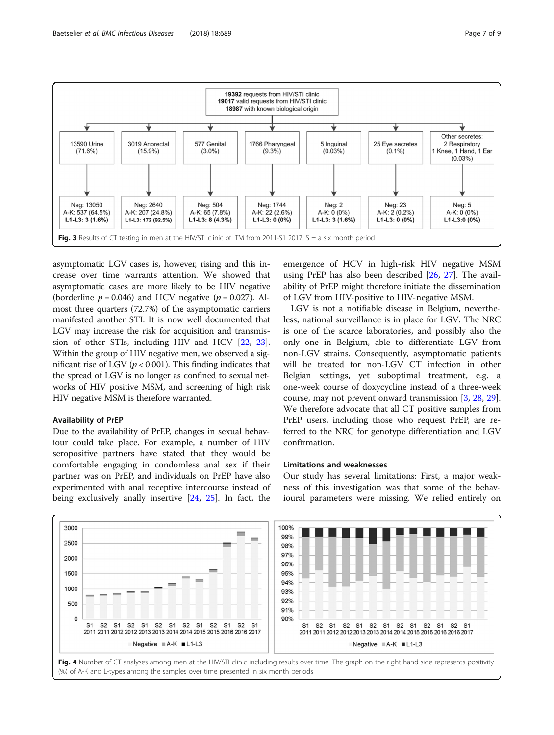<span id="page-6-0"></span>

asymptomatic LGV cases is, however, rising and this increase over time warrants attention. We showed that asymptomatic cases are more likely to be HIV negative (borderline  $p = 0.046$ ) and HCV negative ( $p = 0.027$ ). Almost three quarters (72.7%) of the asymptomatic carriers manifested another STI. It is now well documented that LGV may increase the risk for acquisition and transmission of other STIs, including HIV and HCV [[22](#page-8-0), [23](#page-8-0)]. Within the group of HIV negative men, we observed a significant rise of LGV ( $p < 0.001$ ). This finding indicates that the spread of LGV is no longer as confined to sexual networks of HIV positive MSM, and screening of high risk HIV negative MSM is therefore warranted.

## Availability of PrEP

Due to the availability of PrEP, changes in sexual behaviour could take place. For example, a number of HIV seropositive partners have stated that they would be comfortable engaging in condomless anal sex if their partner was on PrEP, and individuals on PrEP have also experimented with anal receptive intercourse instead of being exclusively anally insertive [\[24](#page-8-0), [25](#page-8-0)]. In fact, the

emergence of HCV in high-risk HIV negative MSM using PrEP has also been described [\[26](#page-8-0), [27](#page-8-0)]. The availability of PrEP might therefore initiate the dissemination of LGV from HIV-positive to HIV-negative MSM.

LGV is not a notifiable disease in Belgium, nevertheless, national surveillance is in place for LGV. The NRC is one of the scarce laboratories, and possibly also the only one in Belgium, able to differentiate LGV from non-LGV strains. Consequently, asymptomatic patients will be treated for non-LGV CT infection in other Belgian settings, yet suboptimal treatment, e.g. a one-week course of doxycycline instead of a three-week course, may not prevent onward transmission [[3](#page-7-0), [28](#page-8-0), [29](#page-8-0)]. We therefore advocate that all CT positive samples from PrEP users, including those who request PrEP, are referred to the NRC for genotype differentiation and LGV confirmation.

## Limitations and weaknesses

Our study has several limitations: First, a major weakness of this investigation was that some of the behavioural parameters were missing. We relied entirely on



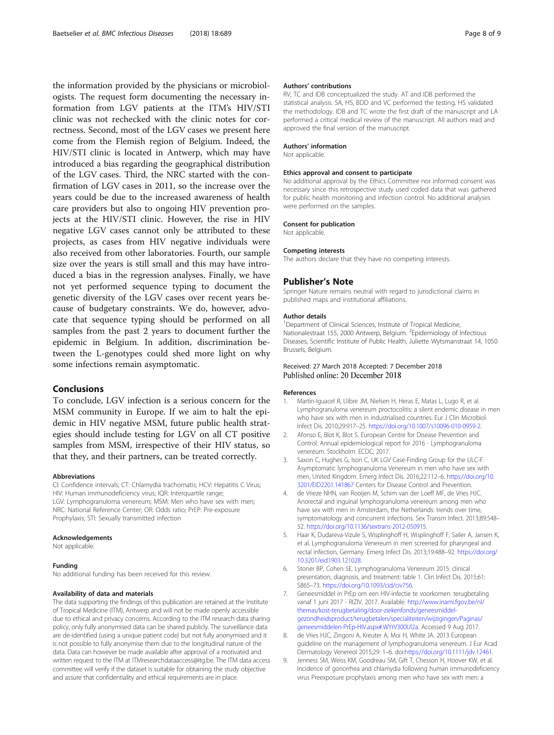<span id="page-7-0"></span>the information provided by the physicians or microbiologists. The request form documenting the necessary information from LGV patients at the ITM's HIV/STI clinic was not rechecked with the clinic notes for correctness. Second, most of the LGV cases we present here come from the Flemish region of Belgium. Indeed, the HIV/STI clinic is located in Antwerp, which may have introduced a bias regarding the geographical distribution of the LGV cases. Third, the NRC started with the confirmation of LGV cases in 2011, so the increase over the years could be due to the increased awareness of health care providers but also to ongoing HIV prevention projects at the HIV/STI clinic. However, the rise in HIV negative LGV cases cannot only be attributed to these projects, as cases from HIV negative individuals were also received from other laboratories. Fourth, our sample size over the years is still small and this may have introduced a bias in the regression analyses. Finally, we have not yet performed sequence typing to document the genetic diversity of the LGV cases over recent years because of budgetary constraints. We do, however, advocate that sequence typing should be performed on all samples from the past 2 years to document further the epidemic in Belgium. In addition, discrimination between the L-genotypes could shed more light on why some infections remain asymptomatic.

## Conclusions

To conclude, LGV infection is a serious concern for the MSM community in Europe. If we aim to halt the epidemic in HIV negative MSM, future public health strategies should include testing for LGV on all CT positive samples from MSM, irrespective of their HIV status, so that they, and their partners, can be treated correctly.

#### Abbreviations

CI: Confidence intervals; CT: Chlamydia trachomatis; HCV: Hepatitis C Virus; HIV: Human immunodeficiency virus; IQR: Interquartile range; LGV: Lymphogranuloma venereum; MSM: Men who have sex with men; NRC: National Reference Center; OR: Odds ratio; PrEP: Pre-exposure Prophylaxis; STI: Sexually transmitted infection

#### Acknowledgements

Not applicable.

#### Funding

No additional funding has been received for this review.

#### Availability of data and materials

The data supporting the findings of this publication are retained at the Institute of Tropical Medicine (ITM), Antwerp and will not be made openly accessible due to ethical and privacy concerns. According to the ITM research data sharing policy, only fully anonymised data can be shared publicly. The surveillance data are de-identified (using a unique patient code) but not fully anonymised and it is not possible to fully anonymise them due to the longitudinal nature of the data. Data can however be made available after approval of a motivated and written request to the ITM at ITMresearchdataaccess@itg.be. The ITM data access committee will verify if the dataset is suitable for obtaining the study objective and assure that confidentiality and ethical requirements are in place.

#### Authors' contributions

RV, TC and IDB conceptualized the study. AT and IDB performed the statistical analysis. SA, HS, BDD and VC performed the testing. HS validated the methodology. IDB and TC wrote the first draft of the manuscript and LA performed a critical medical review of the manuscript. All authors read and approved the final version of the manuscript.

#### Authors' information

Not applicable.

#### Ethics approval and consent to participate

No additional approval by the Ethics Committee nor informed consent was necessary since this retrospective study used coded data that was gathered for public health monitoring and infection control. No additional analyses were performed on the samples.

#### Consent for publication

Not applicable.

#### Competing interests

The authors declare that they have no competing interests.

#### Publisher's Note

Springer Nature remains neutral with regard to jurisdictional claims in published maps and institutional affiliations.

#### Author details

<sup>1</sup>Department of Clinical Sciences, Institute of Tropical Medicine, Nationalestraat 155, 2000 Antwerp, Belgium. <sup>2</sup>Epidemiology of Infectious Diseases, Scientific Institute of Public Health, Juliette Wytsmanstraat 14, 1050 Brussels, Belgium.

## Received: 27 March 2018 Accepted: 7 December 2018 Published online: 20 December 2018

#### References

- Martin-Iguacel R, Llibre JM, Nielsen H, Heras E, Matas L, Lugo R, et al. Lymphogranuloma venereum proctocolitis: a silent endemic disease in men who have sex with men in industrialised countries. Eur J Clin Microbiol Infect Dis. 2010;29:917–25. [https://doi.org/10.1007/s10096-010-0959-2.](https://doi.org/10.1007/s10096-010-0959-2)
- 2. Afonso E, Blot K, Blot S. European Centre for Disease Prevention and Control. Annual epidemiological report for 2016 - Lymphogranuloma venereum. Stockholm: ECDC; 2017.
- 3. Saxon C, Hughes G, Ison C, UK LGV Case-Finding Group for the ULC-F. Asymptomatic lymphogranuloma Venereum in men who have sex with men, United Kingdom. Emerg Infect Dis. 2016;22:112–6. [https://doi.org/10.](https://doi.org/10.3201/EID2201.141867) [3201/EID2201.141867](https://doi.org/10.3201/EID2201.141867) Centers for Disease Control and Prevention.
- 4. de Vrieze NHN, van Rooijen M, Schim van der Loeff MF, de Vries HJC. Anorectal and inguinal lymphogranuloma venereum among men who have sex with men in Amsterdam, the Netherlands: trends over time, symptomatology and concurrent infections. Sex Transm Infect. 2013;89:548– 52. <https://doi.org/10.1136/sextrans-2012-050915>.
- 5. Haar K, Dudareva-Vizule S, Wisplinghoff H, Wisplinghoff F, Sailer A, Jansen K, et al. Lymphogranuloma Venereum in men screened for pharyngeal and rectal infection, Germany. Emerg Infect Dis. 2013;19:488–92. [https://doi.org/](https://doi.org/10.3201/eid1903.121028) [10.3201/eid1903.121028.](https://doi.org/10.3201/eid1903.121028)
- 6. Stoner BP, Cohen SE. Lymphogranuloma Venereum 2015: clinical presentation, diagnosis, and treatment: table 1. Clin Infect Dis. 2015;61: S865–73. <https://doi.org/10.1093/cid/civ756>.
- 7. Geneesmiddel in PrEp om een HIV-infectie te voorkomen: terugbetaling vanaf 1 juni 2017 - RIZIV. 2017. Available: [http://www.inami.fgov.be/nl/](http://www.inami.fgov.be/nl/themas/kost-terugbetaling/door-ziekenfonds/geneesmiddel-gezondheidsproduct/terugbetalen/specialiteiten/wijzigingen/Paginas/geneesmiddelen-PrEp-HIV.aspx#.WYrV300Ul2a) [themas/kost-terugbetaling/door-ziekenfonds/geneesmiddel](http://www.inami.fgov.be/nl/themas/kost-terugbetaling/door-ziekenfonds/geneesmiddel-gezondheidsproduct/terugbetalen/specialiteiten/wijzigingen/Paginas/geneesmiddelen-PrEp-HIV.aspx#.WYrV300Ul2a)[gezondheidsproduct/terugbetalen/specialiteiten/wijzigingen/Paginas/](http://www.inami.fgov.be/nl/themas/kost-terugbetaling/door-ziekenfonds/geneesmiddel-gezondheidsproduct/terugbetalen/specialiteiten/wijzigingen/Paginas/geneesmiddelen-PrEp-HIV.aspx#.WYrV300Ul2a) [geneesmiddelen-PrEp-HIV.aspx#.WYrV300Ul2a.](http://www.inami.fgov.be/nl/themas/kost-terugbetaling/door-ziekenfonds/geneesmiddel-gezondheidsproduct/terugbetalen/specialiteiten/wijzigingen/Paginas/geneesmiddelen-PrEp-HIV.aspx#.WYrV300Ul2a) Accessed 9 Aug 2017.
- 8. de Vries HJC, Zingoni A, Kreuter A, Moi H, White JA. 2013 European guideline on the management of lymphogranuloma venereum. J Eur Acad Dermatology Venereol 2015;29: 1–6. doi[:https://doi.org/10.1111/jdv.12461](https://doi.org/10.1111/jdv.12461).
- 9. Jenness SM, Weiss KM, Goodreau SM, Gift T, Chesson H, Hoover KW, et al. Incidence of gonorrhea and chlamydia following human immunodeficiency virus Preexposure prophylaxis among men who have sex with men: a